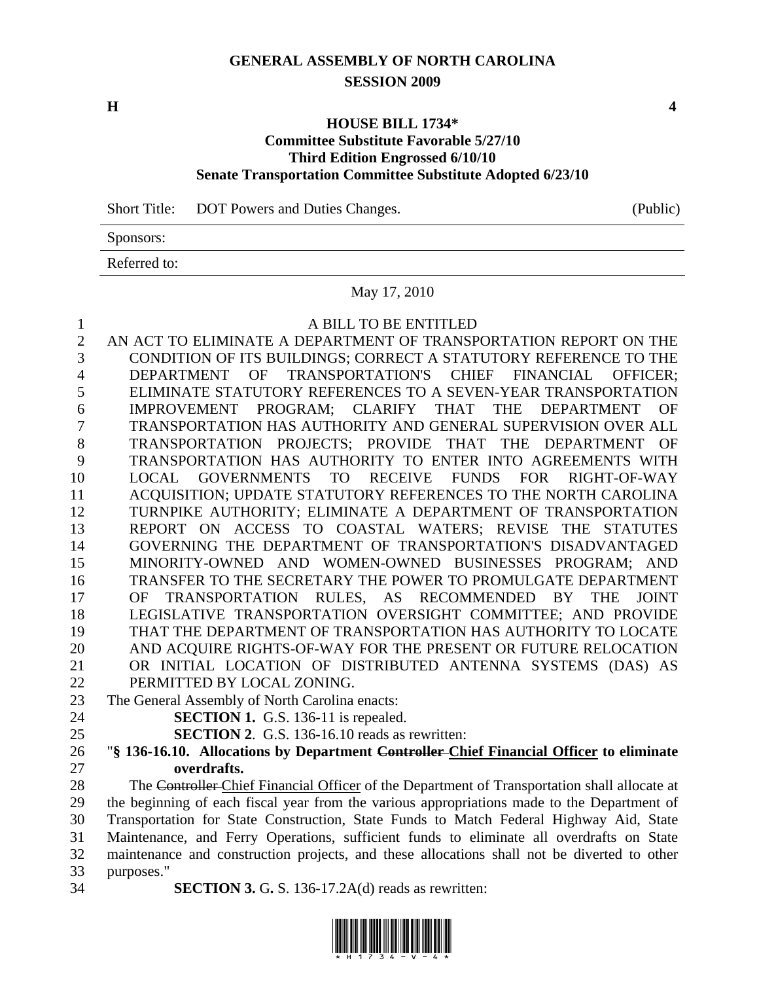# **GENERAL ASSEMBLY OF NORTH CAROLINA SESSION 2009**

**H** 4

## **HOUSE BILL 1734\* Committee Substitute Favorable 5/27/10 Third Edition Engrossed 6/10/10 Senate Transportation Committee Substitute Adopted 6/23/10**

Short Title: DOT Powers and Duties Changes. (Public)

Sponsors:

Referred to:

#### May 17, 2010

| $\mathbf{1}$   | A BILL TO BE ENTITLED                                                                        |
|----------------|----------------------------------------------------------------------------------------------|
| $\overline{2}$ | AN ACT TO ELIMINATE A DEPARTMENT OF TRANSPORTATION REPORT ON THE                             |
| 3              | CONDITION OF ITS BUILDINGS; CORRECT A STATUTORY REFERENCE TO THE                             |
| 4              | DEPARTMENT OF TRANSPORTATION'S CHIEF FINANCIAL OFFICER;                                      |
| 5              | ELIMINATE STATUTORY REFERENCES TO A SEVEN-YEAR TRANSPORTATION                                |
| 6              | IMPROVEMENT PROGRAM; CLARIFY THAT THE DEPARTMENT<br>OF                                       |
| 7              | TRANSPORTATION HAS AUTHORITY AND GENERAL SUPERVISION OVER ALL                                |
| $8\,$          | TRANSPORTATION PROJECTS; PROVIDE THAT THE DEPARTMENT OF                                      |
| 9              | TRANSPORTATION HAS AUTHORITY TO ENTER INTO AGREEMENTS WITH                                   |
| 10             | LOCAL GOVERNMENTS TO RECEIVE FUNDS FOR RIGHT-OF-WAY                                          |
| 11             | ACQUISITION; UPDATE STATUTORY REFERENCES TO THE NORTH CAROLINA                               |
| 12             | TURNPIKE AUTHORITY; ELIMINATE A DEPARTMENT OF TRANSPORTATION                                 |
| 13             | REPORT ON ACCESS TO COASTAL WATERS; REVISE THE STATUTES                                      |
| 14             | GOVERNING THE DEPARTMENT OF TRANSPORTATION'S DISADVANTAGED                                   |
| 15             | MINORITY-OWNED AND WOMEN-OWNED BUSINESSES PROGRAM; AND                                       |
| 16             | TRANSFER TO THE SECRETARY THE POWER TO PROMULGATE DEPARTMENT                                 |
| 17             | OF TRANSPORTATION RULES, AS RECOMMENDED BY THE<br><b>JOINT</b>                               |
| 18             | LEGISLATIVE TRANSPORTATION OVERSIGHT COMMITTEE; AND PROVIDE                                  |
| 19             | THAT THE DEPARTMENT OF TRANSPORTATION HAS AUTHORITY TO LOCATE                                |
| 20             | AND ACQUIRE RIGHTS-OF-WAY FOR THE PRESENT OR FUTURE RELOCATION                               |
| 21             | OR INITIAL LOCATION OF DISTRIBUTED ANTENNA SYSTEMS (DAS) AS                                  |
| 22             | PERMITTED BY LOCAL ZONING.                                                                   |
| 23             | The General Assembly of North Carolina enacts:                                               |
| 24             | <b>SECTION 1.</b> G.S. 136-11 is repealed.                                                   |
| 25             | <b>SECTION 2.</b> G.S. 136-16.10 reads as rewritten:                                         |
| 26             | "§ 136-16.10. Allocations by Department Controller-Chief Financial Officer to eliminate      |
| 27             | overdrafts.                                                                                  |
| 28             | The Controller Chief Einancial Officer of the Department of Transportation shall allocate at |

28 The Controller Chief Financial Officer of the Department of Transportation shall allocate at 29 the beginning of each fiscal year from the various appropriations made to the Department of 30 Transportation for State Construction, State Funds to Match Federal Highway Aid, State 31 Maintenance, and Ferry Operations, sufficient funds to eliminate all overdrafts on State 32 maintenance and construction projects, and these allocations shall not be diverted to other 33 purposes."

- 
- 34 **SECTION 3.** G**.** S. 136-17.2A(d) reads as rewritten:

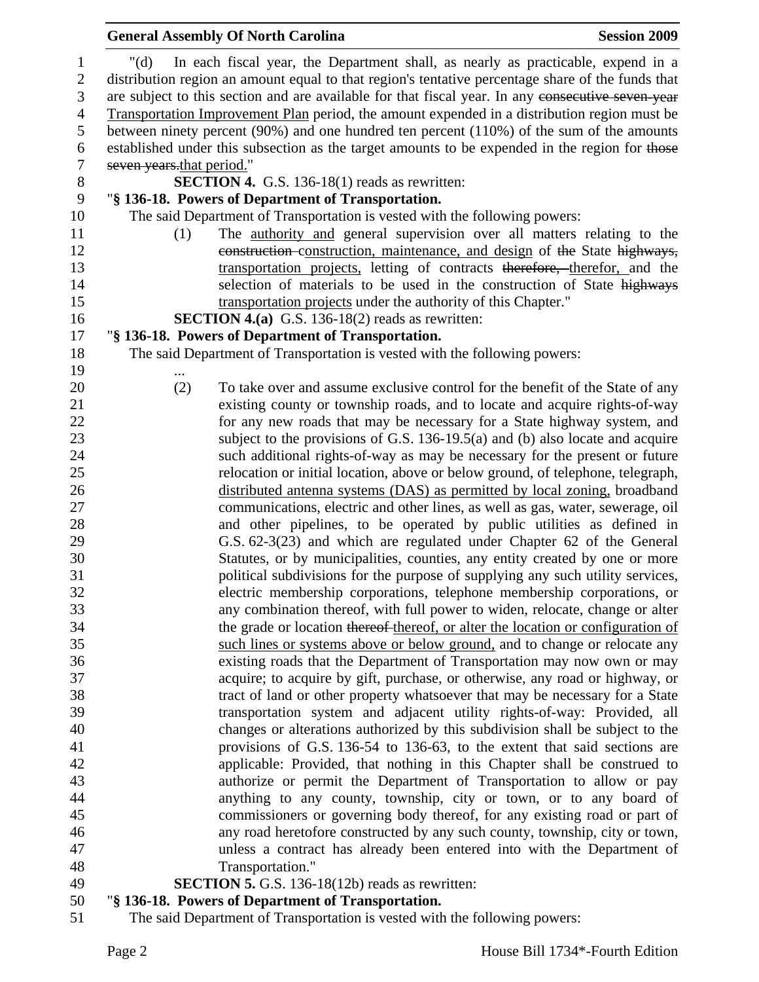|                           | <b>General Assembly Of North Carolina</b>                                                                                                                                                              | <b>Session 2009</b> |
|---------------------------|--------------------------------------------------------------------------------------------------------------------------------------------------------------------------------------------------------|---------------------|
| " $(d)$                   | In each fiscal year, the Department shall, as nearly as practicable, expend in a                                                                                                                       |                     |
|                           | distribution region an amount equal to that region's tentative percentage share of the funds that<br>are subject to this section and are available for that fiscal year. In any consecutive seven year |                     |
|                           | Transportation Improvement Plan period, the amount expended in a distribution region must be                                                                                                           |                     |
|                           | between ninety percent $(90\%)$ and one hundred ten percent $(110\%)$ of the sum of the amounts                                                                                                        |                     |
|                           | established under this subsection as the target amounts to be expended in the region for those                                                                                                         |                     |
| seven years that period." |                                                                                                                                                                                                        |                     |
|                           | <b>SECTION 4.</b> G.S. 136-18(1) reads as rewritten:                                                                                                                                                   |                     |
|                           | "§ 136-18. Powers of Department of Transportation.                                                                                                                                                     |                     |
|                           | The said Department of Transportation is vested with the following powers:                                                                                                                             |                     |
| (1)                       | The <u>authority and</u> general supervision over all matters relating to the                                                                                                                          |                     |
|                           | construction-construction, maintenance, and design of the State highways,                                                                                                                              |                     |
|                           | transportation projects, letting of contracts therefore, therefor, and the                                                                                                                             |                     |
|                           | selection of materials to be used in the construction of State highways                                                                                                                                |                     |
|                           | transportation projects under the authority of this Chapter."                                                                                                                                          |                     |
|                           | <b>SECTION 4.(a)</b> G.S. 136-18(2) reads as rewritten:                                                                                                                                                |                     |
|                           | "§ 136-18. Powers of Department of Transportation.                                                                                                                                                     |                     |
|                           | The said Department of Transportation is vested with the following powers:                                                                                                                             |                     |
|                           |                                                                                                                                                                                                        |                     |
| (2)                       | To take over and assume exclusive control for the benefit of the State of any                                                                                                                          |                     |
|                           | existing county or township roads, and to locate and acquire rights-of-way                                                                                                                             |                     |
|                           | for any new roads that may be necessary for a State highway system, and                                                                                                                                |                     |
|                           | subject to the provisions of G.S. $136-19.5(a)$ and (b) also locate and acquire                                                                                                                        |                     |
|                           | such additional rights-of-way as may be necessary for the present or future                                                                                                                            |                     |
|                           | relocation or initial location, above or below ground, of telephone, telegraph,                                                                                                                        |                     |
|                           | distributed antenna systems (DAS) as permitted by local zoning, broadband                                                                                                                              |                     |
|                           | communications, electric and other lines, as well as gas, water, sewerage, oil                                                                                                                         |                     |
|                           | and other pipelines, to be operated by public utilities as defined in                                                                                                                                  |                     |
|                           | G.S. 62-3(23) and which are regulated under Chapter 62 of the General                                                                                                                                  |                     |
|                           | Statutes, or by municipalities, counties, any entity created by one or more                                                                                                                            |                     |
|                           | political subdivisions for the purpose of supplying any such utility services,                                                                                                                         |                     |
|                           | electric membership corporations, telephone membership corporations, or                                                                                                                                |                     |
|                           | any combination thereof, with full power to widen, relocate, change or alter                                                                                                                           |                     |
|                           | the grade or location thereof thereof, or alter the location or configuration of                                                                                                                       |                     |
|                           | such lines or systems above or below ground, and to change or relocate any                                                                                                                             |                     |
|                           | existing roads that the Department of Transportation may now own or may                                                                                                                                |                     |
|                           | acquire; to acquire by gift, purchase, or otherwise, any road or highway, or                                                                                                                           |                     |
|                           | tract of land or other property whatsoever that may be necessary for a State                                                                                                                           |                     |
|                           | transportation system and adjacent utility rights-of-way: Provided, all                                                                                                                                |                     |
|                           | changes or alterations authorized by this subdivision shall be subject to the                                                                                                                          |                     |
|                           | provisions of G.S. 136-54 to 136-63, to the extent that said sections are                                                                                                                              |                     |
|                           | applicable: Provided, that nothing in this Chapter shall be construed to                                                                                                                               |                     |
|                           | authorize or permit the Department of Transportation to allow or pay                                                                                                                                   |                     |
|                           | anything to any county, township, city or town, or to any board of                                                                                                                                     |                     |
|                           | commissioners or governing body thereof, for any existing road or part of<br>any road heretofore constructed by any such county, township, city or town,                                               |                     |
|                           | unless a contract has already been entered into with the Department of                                                                                                                                 |                     |
|                           | Transportation."                                                                                                                                                                                       |                     |
|                           | <b>SECTION 5.</b> G.S. 136-18(12b) reads as rewritten:                                                                                                                                                 |                     |
|                           |                                                                                                                                                                                                        |                     |

# 50 "**§ 136-18. Powers of Department of Transportation.**

51 The said Department of Transportation is vested with the following powers: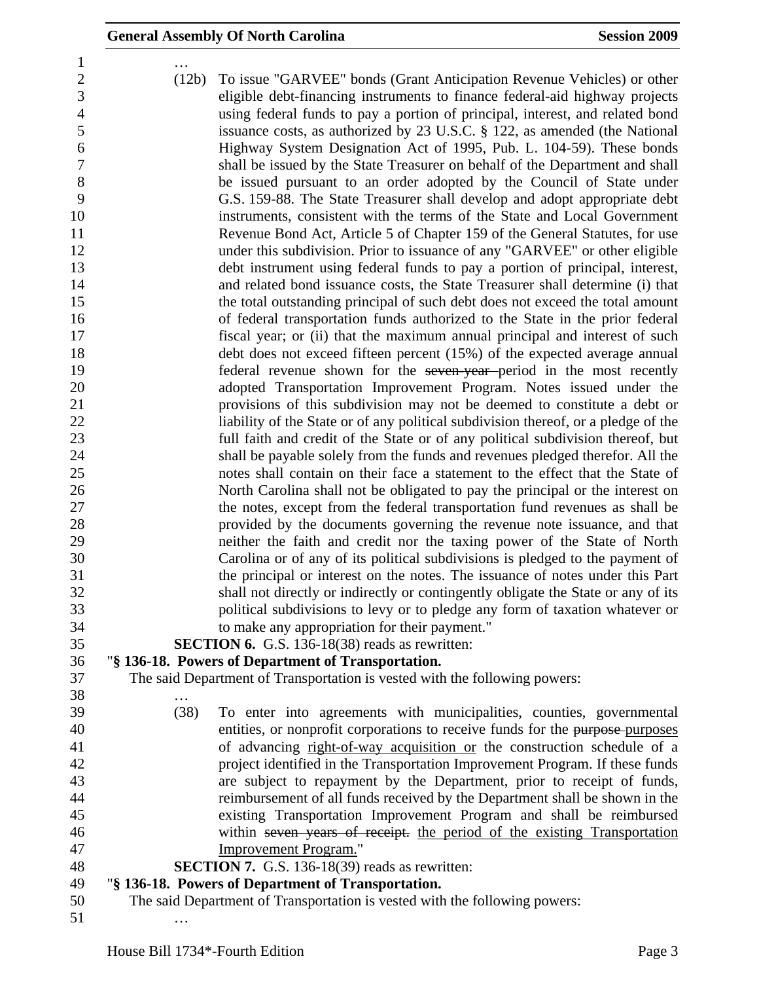|                                                                        |       | <b>General Assembly Of North Carolina</b>                                                                                                                                                                                                                                                                                                                                                                                                                                    | <b>Session 2009</b> |
|------------------------------------------------------------------------|-------|------------------------------------------------------------------------------------------------------------------------------------------------------------------------------------------------------------------------------------------------------------------------------------------------------------------------------------------------------------------------------------------------------------------------------------------------------------------------------|---------------------|
| 1<br>$\overline{c}$<br>3<br>$\overline{4}$<br>5<br>6<br>$\overline{7}$ | (12b) | To issue "GARVEE" bonds (Grant Anticipation Revenue Vehicles) or other<br>eligible debt-financing instruments to finance federal-aid highway projects<br>using federal funds to pay a portion of principal, interest, and related bond<br>issuance costs, as authorized by 23 U.S.C. § 122, as amended (the National<br>Highway System Designation Act of 1995, Pub. L. 104-59). These bonds<br>shall be issued by the State Treasurer on behalf of the Department and shall |                     |
| 8<br>9                                                                 |       | be issued pursuant to an order adopted by the Council of State under<br>G.S. 159-88. The State Treasurer shall develop and adopt appropriate debt                                                                                                                                                                                                                                                                                                                            |                     |
| 10<br>11                                                               |       | instruments, consistent with the terms of the State and Local Government<br>Revenue Bond Act, Article 5 of Chapter 159 of the General Statutes, for use                                                                                                                                                                                                                                                                                                                      |                     |
| 12                                                                     |       | under this subdivision. Prior to issuance of any "GARVEE" or other eligible                                                                                                                                                                                                                                                                                                                                                                                                  |                     |
| 13                                                                     |       | debt instrument using federal funds to pay a portion of principal, interest,                                                                                                                                                                                                                                                                                                                                                                                                 |                     |
| 14                                                                     |       | and related bond issuance costs, the State Treasurer shall determine (i) that                                                                                                                                                                                                                                                                                                                                                                                                |                     |
| 15                                                                     |       | the total outstanding principal of such debt does not exceed the total amount                                                                                                                                                                                                                                                                                                                                                                                                |                     |
| 16                                                                     |       | of federal transportation funds authorized to the State in the prior federal                                                                                                                                                                                                                                                                                                                                                                                                 |                     |
| 17                                                                     |       | fiscal year; or (ii) that the maximum annual principal and interest of such                                                                                                                                                                                                                                                                                                                                                                                                  |                     |
| 18                                                                     |       | debt does not exceed fifteen percent (15%) of the expected average annual                                                                                                                                                                                                                                                                                                                                                                                                    |                     |
| 19<br>20                                                               |       | federal revenue shown for the seven year-period in the most recently<br>adopted Transportation Improvement Program. Notes issued under the                                                                                                                                                                                                                                                                                                                                   |                     |
| 21                                                                     |       | provisions of this subdivision may not be deemed to constitute a debt or                                                                                                                                                                                                                                                                                                                                                                                                     |                     |
| 22                                                                     |       | liability of the State or of any political subdivision thereof, or a pledge of the                                                                                                                                                                                                                                                                                                                                                                                           |                     |
| 23                                                                     |       | full faith and credit of the State or of any political subdivision thereof, but                                                                                                                                                                                                                                                                                                                                                                                              |                     |
| 24                                                                     |       | shall be payable solely from the funds and revenues pledged therefor. All the                                                                                                                                                                                                                                                                                                                                                                                                |                     |
| 25                                                                     |       | notes shall contain on their face a statement to the effect that the State of                                                                                                                                                                                                                                                                                                                                                                                                |                     |
| 26                                                                     |       | North Carolina shall not be obligated to pay the principal or the interest on                                                                                                                                                                                                                                                                                                                                                                                                |                     |
| 27                                                                     |       | the notes, except from the federal transportation fund revenues as shall be                                                                                                                                                                                                                                                                                                                                                                                                  |                     |
| 28                                                                     |       | provided by the documents governing the revenue note issuance, and that                                                                                                                                                                                                                                                                                                                                                                                                      |                     |
| 29                                                                     |       | neither the faith and credit nor the taxing power of the State of North                                                                                                                                                                                                                                                                                                                                                                                                      |                     |
| 30                                                                     |       | Carolina or of any of its political subdivisions is pledged to the payment of                                                                                                                                                                                                                                                                                                                                                                                                |                     |
| 31                                                                     |       | the principal or interest on the notes. The issuance of notes under this Part                                                                                                                                                                                                                                                                                                                                                                                                |                     |
| 32                                                                     |       | shall not directly or indirectly or contingently obligate the State or any of its                                                                                                                                                                                                                                                                                                                                                                                            |                     |
| 33                                                                     |       | political subdivisions to levy or to pledge any form of taxation whatever or                                                                                                                                                                                                                                                                                                                                                                                                 |                     |
| 34<br>35                                                               |       | to make any appropriation for their payment."<br><b>SECTION 6.</b> G.S. 136-18(38) reads as rewritten:                                                                                                                                                                                                                                                                                                                                                                       |                     |
| 36                                                                     |       | "§ 136-18. Powers of Department of Transportation.                                                                                                                                                                                                                                                                                                                                                                                                                           |                     |
| 37                                                                     |       | The said Department of Transportation is vested with the following powers:                                                                                                                                                                                                                                                                                                                                                                                                   |                     |
| 38                                                                     |       |                                                                                                                                                                                                                                                                                                                                                                                                                                                                              |                     |
| 39                                                                     | (38)  | To enter into agreements with municipalities, counties, governmental                                                                                                                                                                                                                                                                                                                                                                                                         |                     |
| 40                                                                     |       | entities, or nonprofit corporations to receive funds for the purpose-purposes                                                                                                                                                                                                                                                                                                                                                                                                |                     |
| 41                                                                     |       | of advancing right-of-way acquisition or the construction schedule of a                                                                                                                                                                                                                                                                                                                                                                                                      |                     |
| 42                                                                     |       | project identified in the Transportation Improvement Program. If these funds                                                                                                                                                                                                                                                                                                                                                                                                 |                     |
| 43                                                                     |       | are subject to repayment by the Department, prior to receipt of funds,                                                                                                                                                                                                                                                                                                                                                                                                       |                     |
| 44                                                                     |       | reimbursement of all funds received by the Department shall be shown in the                                                                                                                                                                                                                                                                                                                                                                                                  |                     |
| 45                                                                     |       | existing Transportation Improvement Program and shall be reimbursed                                                                                                                                                                                                                                                                                                                                                                                                          |                     |
| 46                                                                     |       | within seven years of receipt. the period of the existing Transportation                                                                                                                                                                                                                                                                                                                                                                                                     |                     |
| 47                                                                     |       | Improvement Program."                                                                                                                                                                                                                                                                                                                                                                                                                                                        |                     |
| 48                                                                     |       | <b>SECTION 7.</b> G.S. 136-18(39) reads as rewritten:                                                                                                                                                                                                                                                                                                                                                                                                                        |                     |
| 49<br>50                                                               |       | "§ 136-18. Powers of Department of Transportation.<br>The said Department of Transportation is vested with the following powers:                                                                                                                                                                                                                                                                                                                                             |                     |
| 51                                                                     |       |                                                                                                                                                                                                                                                                                                                                                                                                                                                                              |                     |
|                                                                        |       |                                                                                                                                                                                                                                                                                                                                                                                                                                                                              |                     |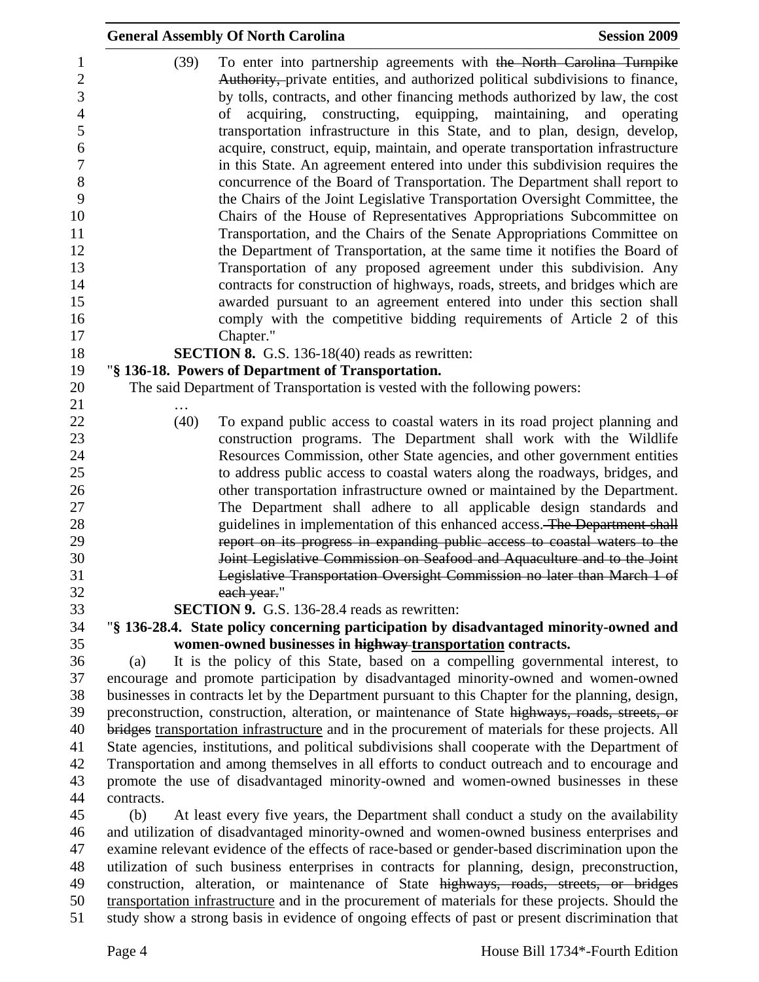|                                                                                                                              |            | <b>General Assembly Of North Carolina</b>                                                                                                                                                                                                                                                                                                                                                                                                                                                                                                                                                                                                                                                                                                                                                                                                                                                                                                                                                                                                                                                                                                                                                                                                                                    | <b>Session 2009</b> |
|------------------------------------------------------------------------------------------------------------------------------|------------|------------------------------------------------------------------------------------------------------------------------------------------------------------------------------------------------------------------------------------------------------------------------------------------------------------------------------------------------------------------------------------------------------------------------------------------------------------------------------------------------------------------------------------------------------------------------------------------------------------------------------------------------------------------------------------------------------------------------------------------------------------------------------------------------------------------------------------------------------------------------------------------------------------------------------------------------------------------------------------------------------------------------------------------------------------------------------------------------------------------------------------------------------------------------------------------------------------------------------------------------------------------------------|---------------------|
| 1<br>$\overline{2}$<br>3<br>$\overline{4}$<br>5<br>6<br>$\boldsymbol{7}$<br>8<br>9<br>10<br>11<br>12<br>13<br>14<br>15<br>16 | (39)       | To enter into partnership agreements with the North Carolina Turnpike<br>Authority, private entities, and authorized political subdivisions to finance,<br>by tolls, contracts, and other financing methods authorized by law, the cost<br>acquiring, constructing, equipping, maintaining, and operating<br>οf<br>transportation infrastructure in this State, and to plan, design, develop,<br>acquire, construct, equip, maintain, and operate transportation infrastructure<br>in this State. An agreement entered into under this subdivision requires the<br>concurrence of the Board of Transportation. The Department shall report to<br>the Chairs of the Joint Legislative Transportation Oversight Committee, the<br>Chairs of the House of Representatives Appropriations Subcommittee on<br>Transportation, and the Chairs of the Senate Appropriations Committee on<br>the Department of Transportation, at the same time it notifies the Board of<br>Transportation of any proposed agreement under this subdivision. Any<br>contracts for construction of highways, roads, streets, and bridges which are<br>awarded pursuant to an agreement entered into under this section shall<br>comply with the competitive bidding requirements of Article 2 of this |                     |
| 17                                                                                                                           |            | Chapter."                                                                                                                                                                                                                                                                                                                                                                                                                                                                                                                                                                                                                                                                                                                                                                                                                                                                                                                                                                                                                                                                                                                                                                                                                                                                    |                     |
| 18                                                                                                                           |            | <b>SECTION 8.</b> G.S. 136-18(40) reads as rewritten:                                                                                                                                                                                                                                                                                                                                                                                                                                                                                                                                                                                                                                                                                                                                                                                                                                                                                                                                                                                                                                                                                                                                                                                                                        |                     |
| 19                                                                                                                           |            | "§ 136-18. Powers of Department of Transportation.                                                                                                                                                                                                                                                                                                                                                                                                                                                                                                                                                                                                                                                                                                                                                                                                                                                                                                                                                                                                                                                                                                                                                                                                                           |                     |
| 20<br>21                                                                                                                     |            | The said Department of Transportation is vested with the following powers:                                                                                                                                                                                                                                                                                                                                                                                                                                                                                                                                                                                                                                                                                                                                                                                                                                                                                                                                                                                                                                                                                                                                                                                                   |                     |
| 22                                                                                                                           | (40)       | To expand public access to coastal waters in its road project planning and                                                                                                                                                                                                                                                                                                                                                                                                                                                                                                                                                                                                                                                                                                                                                                                                                                                                                                                                                                                                                                                                                                                                                                                                   |                     |
| 23                                                                                                                           |            | construction programs. The Department shall work with the Wildlife                                                                                                                                                                                                                                                                                                                                                                                                                                                                                                                                                                                                                                                                                                                                                                                                                                                                                                                                                                                                                                                                                                                                                                                                           |                     |
| 24                                                                                                                           |            | Resources Commission, other State agencies, and other government entities                                                                                                                                                                                                                                                                                                                                                                                                                                                                                                                                                                                                                                                                                                                                                                                                                                                                                                                                                                                                                                                                                                                                                                                                    |                     |
| 25                                                                                                                           |            | to address public access to coastal waters along the roadways, bridges, and                                                                                                                                                                                                                                                                                                                                                                                                                                                                                                                                                                                                                                                                                                                                                                                                                                                                                                                                                                                                                                                                                                                                                                                                  |                     |
| 26<br>27                                                                                                                     |            | other transportation infrastructure owned or maintained by the Department.<br>The Department shall adhere to all applicable design standards and                                                                                                                                                                                                                                                                                                                                                                                                                                                                                                                                                                                                                                                                                                                                                                                                                                                                                                                                                                                                                                                                                                                             |                     |
| 28<br>29                                                                                                                     |            | guidelines in implementation of this enhanced access. The Department shall<br>report on its progress in expanding public access to coastal waters to the                                                                                                                                                                                                                                                                                                                                                                                                                                                                                                                                                                                                                                                                                                                                                                                                                                                                                                                                                                                                                                                                                                                     |                     |
| 30<br>31<br>32                                                                                                               |            | Joint Legislative Commission on Seafood and Aquaculture and to the Joint<br>Legislative Transportation Oversight Commission no later than March 1 of<br>each year."                                                                                                                                                                                                                                                                                                                                                                                                                                                                                                                                                                                                                                                                                                                                                                                                                                                                                                                                                                                                                                                                                                          |                     |
| 33                                                                                                                           |            | <b>SECTION 9.</b> G.S. 136-28.4 reads as rewritten:                                                                                                                                                                                                                                                                                                                                                                                                                                                                                                                                                                                                                                                                                                                                                                                                                                                                                                                                                                                                                                                                                                                                                                                                                          |                     |
| 34                                                                                                                           |            | "§ 136-28.4. State policy concerning participation by disadvantaged minority-owned and                                                                                                                                                                                                                                                                                                                                                                                                                                                                                                                                                                                                                                                                                                                                                                                                                                                                                                                                                                                                                                                                                                                                                                                       |                     |
| 35                                                                                                                           |            | women-owned businesses in highway transportation contracts.                                                                                                                                                                                                                                                                                                                                                                                                                                                                                                                                                                                                                                                                                                                                                                                                                                                                                                                                                                                                                                                                                                                                                                                                                  |                     |
| 36                                                                                                                           | (a)        | It is the policy of this State, based on a compelling governmental interest, to                                                                                                                                                                                                                                                                                                                                                                                                                                                                                                                                                                                                                                                                                                                                                                                                                                                                                                                                                                                                                                                                                                                                                                                              |                     |
| 37                                                                                                                           |            | encourage and promote participation by disadvantaged minority-owned and women-owned                                                                                                                                                                                                                                                                                                                                                                                                                                                                                                                                                                                                                                                                                                                                                                                                                                                                                                                                                                                                                                                                                                                                                                                          |                     |
| 38                                                                                                                           |            | businesses in contracts let by the Department pursuant to this Chapter for the planning, design,                                                                                                                                                                                                                                                                                                                                                                                                                                                                                                                                                                                                                                                                                                                                                                                                                                                                                                                                                                                                                                                                                                                                                                             |                     |
| 39<br>40                                                                                                                     |            | preconstruction, construction, alteration, or maintenance of State highways, roads, streets, or<br>bridges transportation infrastructure and in the procurement of materials for these projects. All                                                                                                                                                                                                                                                                                                                                                                                                                                                                                                                                                                                                                                                                                                                                                                                                                                                                                                                                                                                                                                                                         |                     |
| 41                                                                                                                           |            | State agencies, institutions, and political subdivisions shall cooperate with the Department of                                                                                                                                                                                                                                                                                                                                                                                                                                                                                                                                                                                                                                                                                                                                                                                                                                                                                                                                                                                                                                                                                                                                                                              |                     |
| 42                                                                                                                           |            | Transportation and among themselves in all efforts to conduct outreach and to encourage and                                                                                                                                                                                                                                                                                                                                                                                                                                                                                                                                                                                                                                                                                                                                                                                                                                                                                                                                                                                                                                                                                                                                                                                  |                     |
| 43                                                                                                                           |            | promote the use of disadvantaged minority-owned and women-owned businesses in these                                                                                                                                                                                                                                                                                                                                                                                                                                                                                                                                                                                                                                                                                                                                                                                                                                                                                                                                                                                                                                                                                                                                                                                          |                     |
| 44                                                                                                                           | contracts. |                                                                                                                                                                                                                                                                                                                                                                                                                                                                                                                                                                                                                                                                                                                                                                                                                                                                                                                                                                                                                                                                                                                                                                                                                                                                              |                     |
| 45                                                                                                                           | (b)        | At least every five years, the Department shall conduct a study on the availability                                                                                                                                                                                                                                                                                                                                                                                                                                                                                                                                                                                                                                                                                                                                                                                                                                                                                                                                                                                                                                                                                                                                                                                          |                     |
| 46                                                                                                                           |            | and utilization of disadvantaged minority-owned and women-owned business enterprises and                                                                                                                                                                                                                                                                                                                                                                                                                                                                                                                                                                                                                                                                                                                                                                                                                                                                                                                                                                                                                                                                                                                                                                                     |                     |
| 47                                                                                                                           |            | examine relevant evidence of the effects of race-based or gender-based discrimination upon the                                                                                                                                                                                                                                                                                                                                                                                                                                                                                                                                                                                                                                                                                                                                                                                                                                                                                                                                                                                                                                                                                                                                                                               |                     |
| 48                                                                                                                           |            | utilization of such business enterprises in contracts for planning, design, preconstruction,                                                                                                                                                                                                                                                                                                                                                                                                                                                                                                                                                                                                                                                                                                                                                                                                                                                                                                                                                                                                                                                                                                                                                                                 |                     |
| 49<br>50                                                                                                                     |            | construction, alteration, or maintenance of State highways, roads, streets, or bridges<br>transportation infrastructure and in the procurement of materials for these projects. Should the                                                                                                                                                                                                                                                                                                                                                                                                                                                                                                                                                                                                                                                                                                                                                                                                                                                                                                                                                                                                                                                                                   |                     |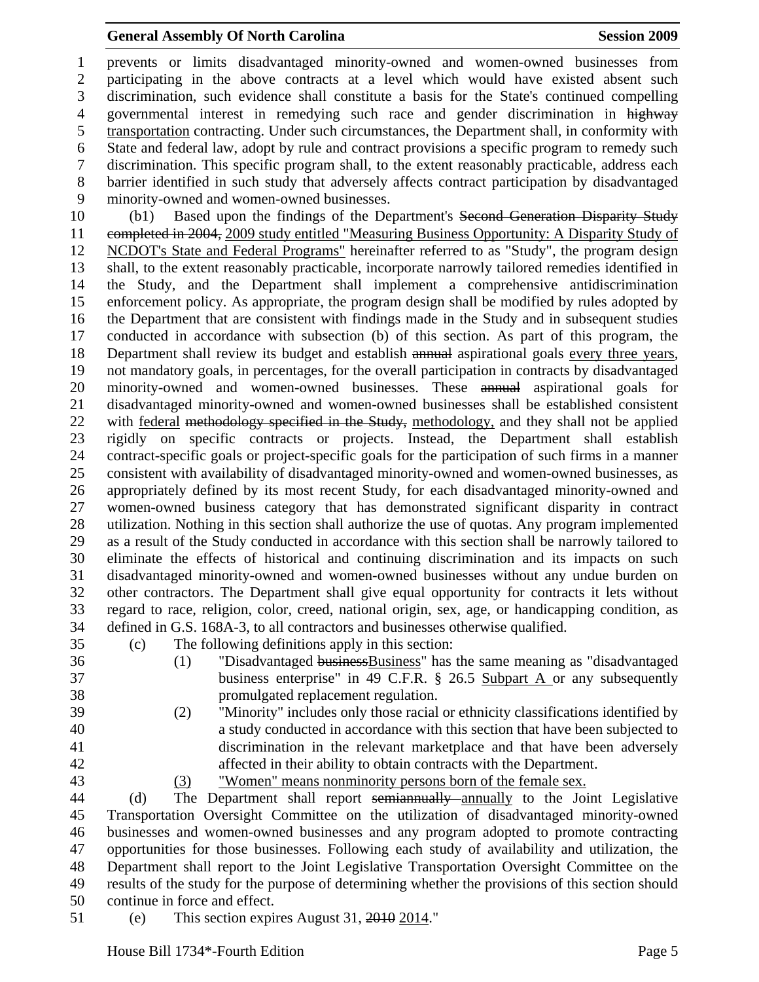## General Assembly Of North Carolina Session 2009

1 prevents or limits disadvantaged minority-owned and women-owned businesses from 2 participating in the above contracts at a level which would have existed absent such 3 discrimination, such evidence shall constitute a basis for the State's continued compelling 4 governmental interest in remedying such race and gender discrimination in highway 5 transportation contracting. Under such circumstances, the Department shall, in conformity with 6 State and federal law, adopt by rule and contract provisions a specific program to remedy such 7 discrimination. This specific program shall, to the extent reasonably practicable, address each 8 barrier identified in such study that adversely affects contract participation by disadvantaged 9 minority-owned and women-owned businesses.

10 (b1) Based upon the findings of the Department's Second Generation Disparity Study 11 completed in 2004, 2009 study entitled "Measuring Business Opportunity: A Disparity Study of 12 NCDOT's State and Federal Programs" hereinafter referred to as "Study", the program design 13 shall, to the extent reasonably practicable, incorporate narrowly tailored remedies identified in 14 the Study, and the Department shall implement a comprehensive antidiscrimination 15 enforcement policy. As appropriate, the program design shall be modified by rules adopted by 16 the Department that are consistent with findings made in the Study and in subsequent studies 17 conducted in accordance with subsection (b) of this section. As part of this program, the 18 Department shall review its budget and establish annual aspirational goals every three years, 19 not mandatory goals, in percentages, for the overall participation in contracts by disadvantaged 20 minority-owned and women-owned businesses. These annual aspirational goals for 21 disadvantaged minority-owned and women-owned businesses shall be established consistent 22 with federal methodology specified in the Study, methodology, and they shall not be applied 23 rigidly on specific contracts or projects. Instead, the Department shall establish 24 contract-specific goals or project-specific goals for the participation of such firms in a manner 25 consistent with availability of disadvantaged minority-owned and women-owned businesses, as 26 appropriately defined by its most recent Study, for each disadvantaged minority-owned and 27 women-owned business category that has demonstrated significant disparity in contract 28 utilization. Nothing in this section shall authorize the use of quotas. Any program implemented 29 as a result of the Study conducted in accordance with this section shall be narrowly tailored to 30 eliminate the effects of historical and continuing discrimination and its impacts on such 31 disadvantaged minority-owned and women-owned businesses without any undue burden on 32 other contractors. The Department shall give equal opportunity for contracts it lets without 33 regard to race, religion, color, creed, national origin, sex, age, or handicapping condition, as 34 defined in G.S. 168A-3, to all contractors and businesses otherwise qualified.

35 (c) The following definitions apply in this section:

- 36 (1) Thisadvantaged business Eusiness" has the same meaning as "disadvantaged 37 business enterprise" in 49 C.F.R. § 26.5 Subpart A or any subsequently 38 promulgated replacement regulation.
- 39 (2) "Minority" includes only those racial or ethnicity classifications identified by 40 a study conducted in accordance with this section that have been subjected to 41 discrimination in the relevant marketplace and that have been adversely 42 affected in their ability to obtain contracts with the Department.
- 

43 (3) "Women" means nonminority persons born of the female sex.

44 (d) The Department shall report semiannually annually to the Joint Legislative 45 Transportation Oversight Committee on the utilization of disadvantaged minority-owned 46 businesses and women-owned businesses and any program adopted to promote contracting 47 opportunities for those businesses. Following each study of availability and utilization, the 48 Department shall report to the Joint Legislative Transportation Oversight Committee on the 49 results of the study for the purpose of determining whether the provisions of this section should 50 continue in force and effect.

51 (e) This section expires August 31, 2010 2014."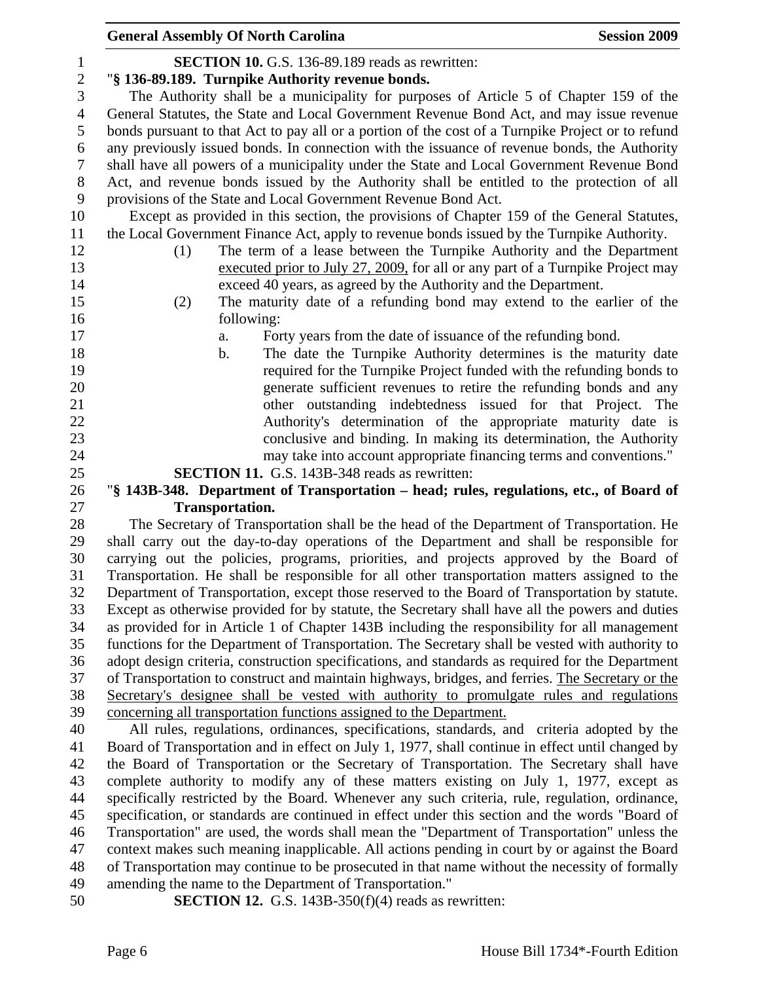|                | <b>Session 2009</b><br><b>General Assembly Of North Carolina</b>                                                                                          |  |
|----------------|-----------------------------------------------------------------------------------------------------------------------------------------------------------|--|
| $\mathbf 1$    | <b>SECTION 10.</b> G.S. 136-89.189 reads as rewritten:                                                                                                    |  |
| $\sqrt{2}$     | "§ 136-89.189. Turnpike Authority revenue bonds.                                                                                                          |  |
| 3              | The Authority shall be a municipality for purposes of Article 5 of Chapter 159 of the                                                                     |  |
| $\overline{4}$ | General Statutes, the State and Local Government Revenue Bond Act, and may issue revenue                                                                  |  |
| 5              | bonds pursuant to that Act to pay all or a portion of the cost of a Turnpike Project or to refund                                                         |  |
| 6              | any previously issued bonds. In connection with the issuance of revenue bonds, the Authority                                                              |  |
| 7              | shall have all powers of a municipality under the State and Local Government Revenue Bond                                                                 |  |
| 8              | Act, and revenue bonds issued by the Authority shall be entitled to the protection of all                                                                 |  |
| 9              | provisions of the State and Local Government Revenue Bond Act.                                                                                            |  |
| 10             | Except as provided in this section, the provisions of Chapter 159 of the General Statutes,                                                                |  |
| 11             | the Local Government Finance Act, apply to revenue bonds issued by the Turnpike Authority.                                                                |  |
| 12             | The term of a lease between the Turnpike Authority and the Department<br>(1)                                                                              |  |
| 13             | executed prior to July 27, 2009, for all or any part of a Turnpike Project may                                                                            |  |
| 14             | exceed 40 years, as agreed by the Authority and the Department.                                                                                           |  |
| 15             | The maturity date of a refunding bond may extend to the earlier of the<br>(2)                                                                             |  |
| 16             | following:                                                                                                                                                |  |
| 17             | Forty years from the date of issuance of the refunding bond.<br>a.                                                                                        |  |
| 18             | The date the Turnpike Authority determines is the maturity date<br>b.                                                                                     |  |
| 19             | required for the Turnpike Project funded with the refunding bonds to                                                                                      |  |
| 20             | generate sufficient revenues to retire the refunding bonds and any                                                                                        |  |
| 21             | other outstanding indebtedness issued for that Project. The                                                                                               |  |
| 22             | Authority's determination of the appropriate maturity date is                                                                                             |  |
| 23             | conclusive and binding. In making its determination, the Authority                                                                                        |  |
| 24             | may take into account appropriate financing terms and conventions."                                                                                       |  |
| 25             | <b>SECTION 11.</b> G.S. 143B-348 reads as rewritten:                                                                                                      |  |
| 26             | "§ 143B-348. Department of Transportation – head; rules, regulations, etc., of Board of<br><b>Transportation.</b>                                         |  |
| 27<br>28       | The Secretary of Transportation shall be the head of the Department of Transportation. He                                                                 |  |
| 29             | shall carry out the day-to-day operations of the Department and shall be responsible for                                                                  |  |
| 30             | carrying out the policies, programs, priorities, and projects approved by the Board of                                                                    |  |
| 31             | Transportation. He shall be responsible for all other transportation matters assigned to the                                                              |  |
| 32             | Department of Transportation, except those reserved to the Board of Transportation by statute.                                                            |  |
| 33             | Except as otherwise provided for by statute, the Secretary shall have all the powers and duties                                                           |  |
| 34             | as provided for in Article 1 of Chapter 143B including the responsibility for all management                                                              |  |
| 35             | functions for the Department of Transportation. The Secretary shall be vested with authority to                                                           |  |
| 36             | adopt design criteria, construction specifications, and standards as required for the Department                                                          |  |
| 37             | of Transportation to construct and maintain highways, bridges, and ferries. The Secretary or the                                                          |  |
| 38             | Secretary's designee shall be vested with authority to promulgate rules and regulations                                                                   |  |
| 39             | concerning all transportation functions assigned to the Department.                                                                                       |  |
| 40             | All rules, regulations, ordinances, specifications, standards, and criteria adopted by the                                                                |  |
| 41             | Board of Transportation and in effect on July 1, 1977, shall continue in effect until changed by                                                          |  |
| 42             | the Board of Transportation or the Secretary of Transportation. The Secretary shall have                                                                  |  |
| 43             | complete authority to modify any of these matters existing on July 1, 1977, except as                                                                     |  |
| 44             | specifically restricted by the Board. Whenever any such criteria, rule, regulation, ordinance,                                                            |  |
| 45             | specification, or standards are continued in effect under this section and the words "Board of                                                            |  |
| 46             | Transportation" are used, the words shall mean the "Department of Transportation" unless the                                                              |  |
| 47             | context makes such meaning inapplicable. All actions pending in court by or against the Board                                                             |  |
| 48<br>49       | of Transportation may continue to be prosecuted in that name without the necessity of formally<br>amending the name to the Department of Transportation." |  |
| 50             | <b>SECTION 12.</b> G.S. 143B-350( $f$ )(4) reads as rewritten:                                                                                            |  |
|                |                                                                                                                                                           |  |